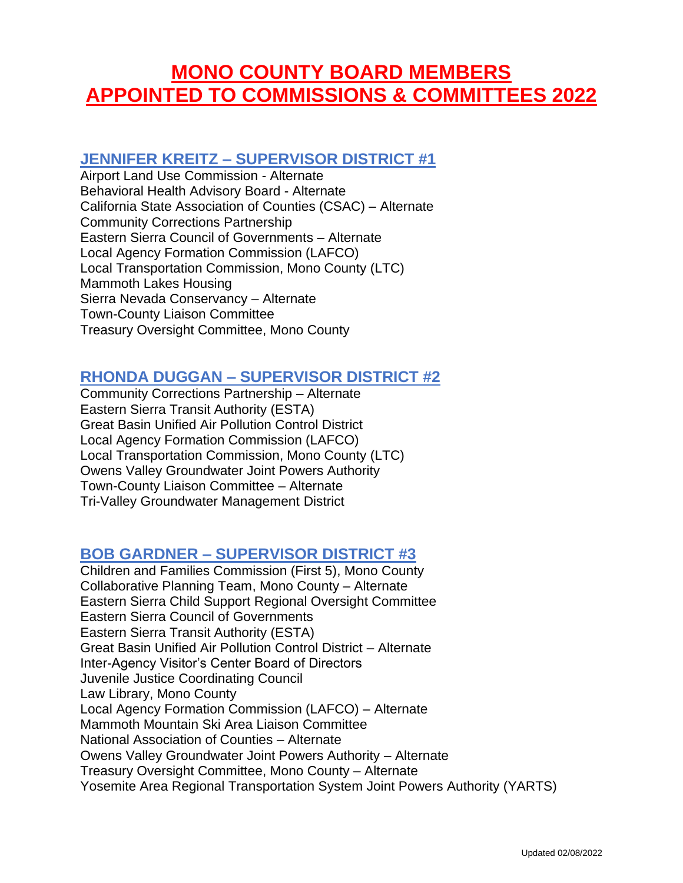# **MONO COUNTY BOARD MEMBERS APPOINTED TO COMMISSIONS & COMMITTEES 2022**

## **JENNIFER KREITZ – SUPERVISOR DISTRICT #1**

Airport Land Use Commission - Alternate Behavioral Health Advisory Board - Alternate California State Association of Counties (CSAC) – Alternate Community Corrections Partnership Eastern Sierra Council of Governments – Alternate Local Agency Formation Commission (LAFCO) Local Transportation Commission, Mono County (LTC) Mammoth Lakes Housing Sierra Nevada Conservancy – Alternate Town-County Liaison Committee Treasury Oversight Committee, Mono County

## **RHONDA DUGGAN – SUPERVISOR DISTRICT #2**

Community Corrections Partnership – Alternate Eastern Sierra Transit Authority (ESTA) Great Basin Unified Air Pollution Control District Local Agency Formation Commission (LAFCO) Local Transportation Commission, Mono County (LTC) Owens Valley Groundwater Joint Powers Authority Town-County Liaison Committee – Alternate Tri-Valley Groundwater Management District

#### **BOB GARDNER – SUPERVISOR DISTRICT #3**

Children and Families Commission (First 5), Mono County Collaborative Planning Team, Mono County – Alternate Eastern Sierra Child Support Regional Oversight Committee Eastern Sierra Council of Governments Eastern Sierra Transit Authority (ESTA) Great Basin Unified Air Pollution Control District – Alternate Inter-Agency Visitor's Center Board of Directors Juvenile Justice Coordinating Council Law Library, Mono County Local Agency Formation Commission (LAFCO) – Alternate Mammoth Mountain Ski Area Liaison Committee National Association of Counties – Alternate Owens Valley Groundwater Joint Powers Authority – Alternate Treasury Oversight Committee, Mono County – Alternate Yosemite Area Regional Transportation System Joint Powers Authority (YARTS)